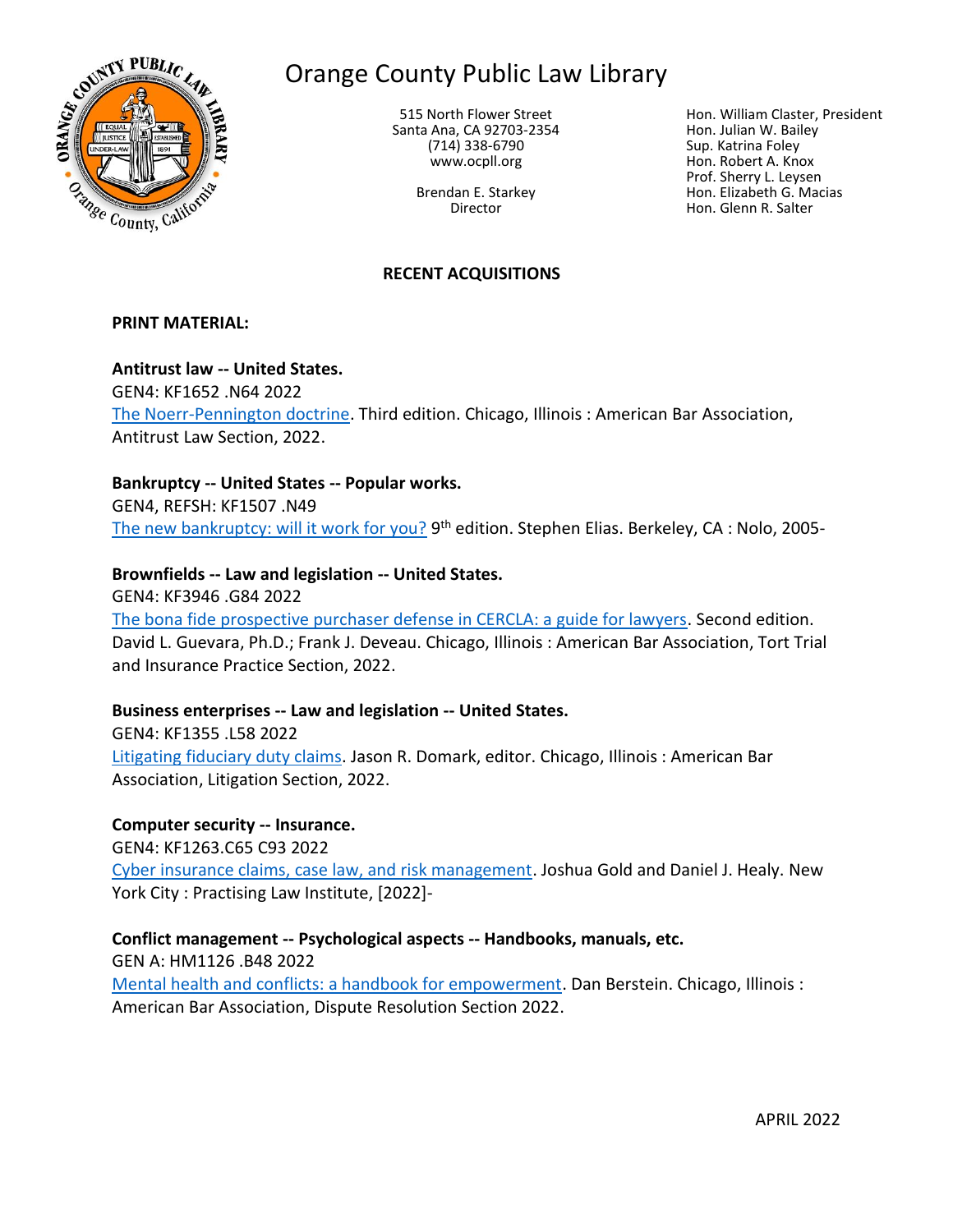

# Orange County Public Law Library

515 North Flower Street Santa Ana, CA 92703-2354 (714) 338-6790 www.ocpll.org

> Brendan E. Starkey Director

Hon. William Claster, President Hon. Julian W. Bailey Sup. Katrina Foley Hon. Robert A. Knox Prof. Sherry L. Leysen Hon. Elizabeth G. Macias Hon. Glenn R. Salter

# **RECENT ACQUISITIONS**

#### **PRINT MATERIAL:**

#### **Antitrust law -- United States.**

GEN4: KF1652 .N64 2022 [The Noerr-Pennington doctrine.](https://innopac.ocpll.org/record=b244633) Third edition. Chicago, Illinois : American Bar Association, Antitrust Law Section, 2022.

#### **Bankruptcy -- United States -- Popular works.**

GEN4, REFSH: KF1507 .N49 [The new bankruptcy: will it work for you?](https://innopac.ocpll.org/record=b244524) 9<sup>th</sup> edition. Stephen Elias. Berkeley, CA : Nolo, 2005-

# **Brownfields -- Law and legislation -- United States.**

GEN4: KF3946 .G84 2022 [The bona fide prospective purchaser defense in CERCLA: a guide for lawyers.](https://innopac.ocpll.org/record=b243609) Second edition. David L. Guevara, Ph.D.; Frank J. Deveau. Chicago, Illinois : American Bar Association, Tort Trial and Insurance Practice Section, 2022.

# **Business enterprises -- Law and legislation -- United States.**

GEN4: KF1355 .L58 2022 [Litigating fiduciary duty claims.](https://innopac.ocpll.org/record=b244636) Jason R. Domark, editor. Chicago, Illinois : American Bar Association, Litigation Section, 2022.

#### **Computer security -- Insurance.**

GEN4: KF1263.C65 C93 2022 [Cyber insurance claims, case law, and risk management.](https://innopac.ocpll.org/record=b243572) Joshua Gold and Daniel J. Healy. New

York City : Practising Law Institute, [2022]-

**Conflict management -- Psychological aspects -- Handbooks, manuals, etc.**

GEN A: HM1126 .B48 2022

[Mental health and conflicts: a handbook for empowerment.](https://innopac.ocpll.org/record=b243612) Dan Berstein. Chicago, Illinois : American Bar Association, Dispute Resolution Section 2022.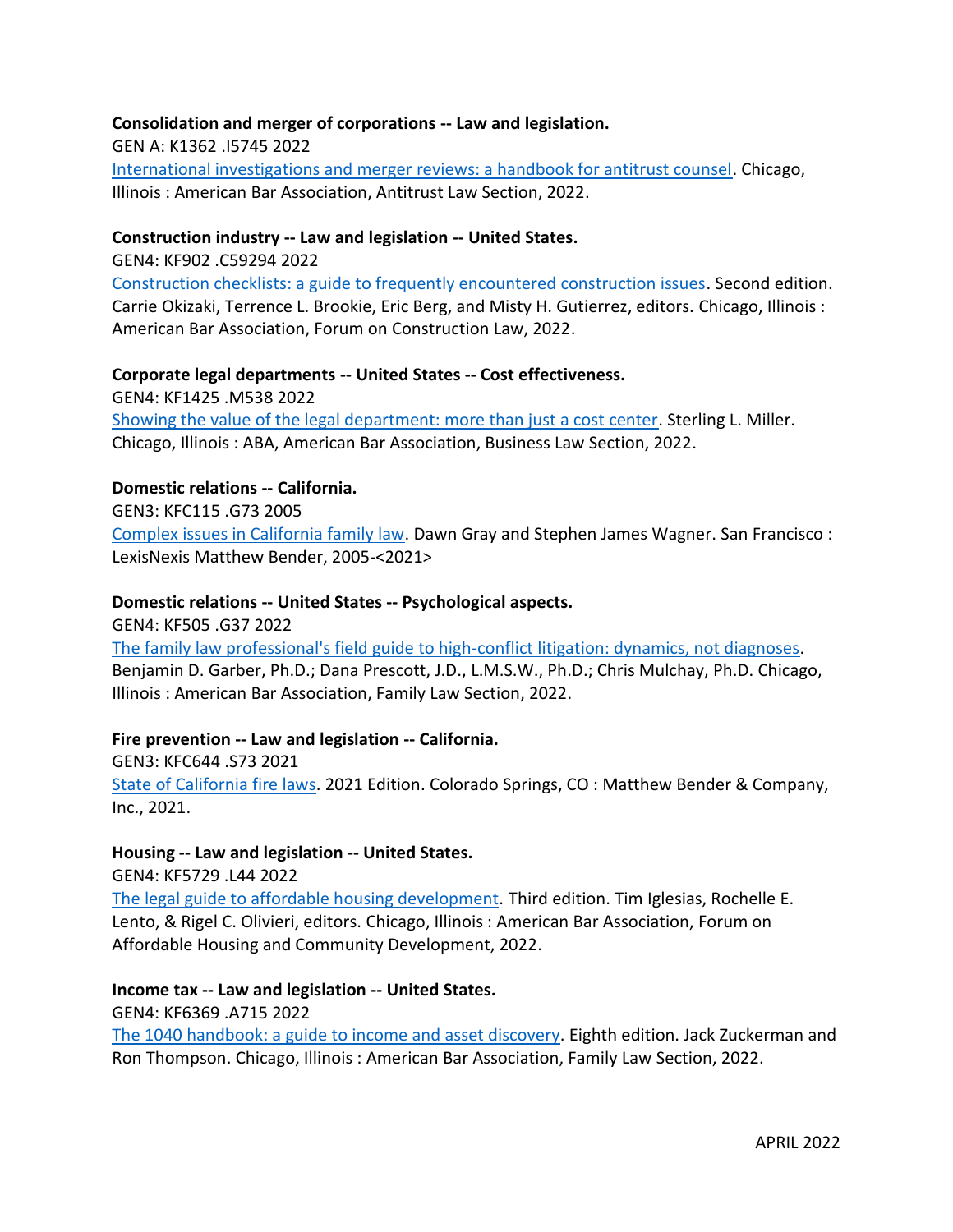# **Consolidation and merger of corporations -- Law and legislation.**

GEN A: K1362 .I5745 2022

[International investigations and merger reviews: a handbook for antitrust counsel.](https://innopac.ocpll.org/record=b244635) Chicago, Illinois : American Bar Association, Antitrust Law Section, 2022.

# **Construction industry -- Law and legislation -- United States.**

GEN4: KF902 .C59294 2022

[Construction checklists: a guide to frequently encountered construction issues.](https://innopac.ocpll.org/record=b243607) Second edition. Carrie Okizaki, Terrence L. Brookie, Eric Berg, and Misty H. Gutierrez, editors. Chicago, Illinois : American Bar Association, Forum on Construction Law, 2022.

# **Corporate legal departments -- United States -- Cost effectiveness.**

GEN4: KF1425 .M538 2022

[Showing the value of the legal department: more than just a cost center.](https://innopac.ocpll.org/record=b243574) Sterling L. Miller. Chicago, Illinois : ABA, American Bar Association, Business Law Section, 2022.

# **Domestic relations -- California.**

GEN3: KFC115 .G73 2005

[Complex issues in California family law.](https://innopac.ocpll.org/record=b242692) Dawn Gray and Stephen James Wagner. San Francisco : LexisNexis Matthew Bender, 2005-<2021>

# **Domestic relations -- United States -- Psychological aspects.**

GEN4: KF505 .G37 2022

[The family law professional's field guide to high-conflict litigation: dynamics, not diagnoses.](https://innopac.ocpll.org/record=b243577) Benjamin D. Garber, Ph.D.; Dana Prescott, J.D., L.M.S.W., Ph.D.; Chris Mulchay, Ph.D. Chicago, Illinois : American Bar Association, Family Law Section, 2022.

# **Fire prevention -- Law and legislation -- California.**

GEN3: KFC644 .S73 2021 [State of California fire laws.](https://innopac.ocpll.org/record=b242687) 2021 Edition. Colorado Springs, CO : Matthew Bender & Company, Inc., 2021.

#### **Housing -- Law and legislation -- United States.**

GEN4: KF5729 .L44 2022

[The legal guide to affordable housing development.](https://innopac.ocpll.org/record=b243606) Third edition. Tim Iglesias, Rochelle E. Lento, & Rigel C. Olivieri, editors. Chicago, Illinois : American Bar Association, Forum on Affordable Housing and Community Development, 2022.

# **Income tax -- Law and legislation -- United States.**

GEN4: KF6369 .A715 2022

The 1040 handbook: [a guide to income and asset discovery.](https://innopac.ocpll.org/record=b243578) Eighth edition. Jack Zuckerman and Ron Thompson. Chicago, Illinois : American Bar Association, Family Law Section, 2022.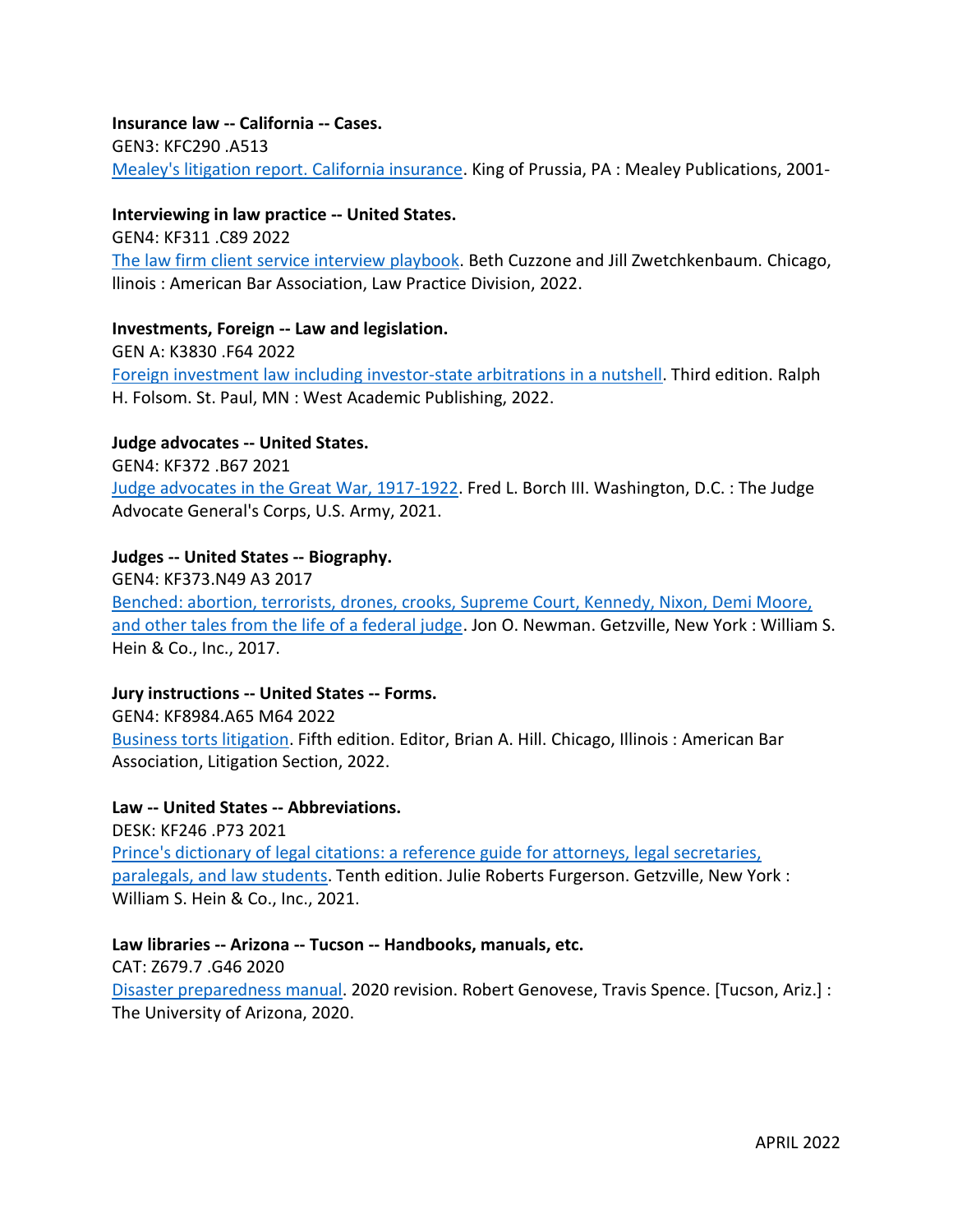**Insurance law -- California -- Cases.** GEN3: KFC290 .A513 [Mealey's litigation report. California insurance.](https://innopac.ocpll.org/record=b243140) King of Prussia, PA : Mealey Publications, 2001-

#### **Interviewing in law practice -- United States.**

GEN4: KF311 .C89 2022 [The law firm client service interview playbook.](https://innopac.ocpll.org/record=b243610) Beth Cuzzone and Jill Zwetchkenbaum. Chicago, llinois : American Bar Association, Law Practice Division, 2022.

#### **Investments, Foreign -- Law and legislation.**

GEN A: K3830 .F64 2022 [Foreign investment law including investor-state arbitrations in a nutshell.](https://innopac.ocpll.org/record=b243576) Third edition. Ralph H. Folsom. St. Paul, MN : West Academic Publishing, 2022.

# **Judge advocates -- United States.**

GEN4: KF372 .B67 2021 [Judge advocates in the Great War, 1917-1922.](https://innopac.ocpll.org/record=b243988) Fred L. Borch III. Washington, D.C. : The Judge Advocate General's Corps, U.S. Army, 2021.

#### **Judges -- United States -- Biography.**

GEN4: KF373.N49 A3 2017 [Benched: abortion, terrorists, drones, crooks, Supreme Court, Kennedy, Nixon, Demi Moore,](https://innopac.ocpll.org/record=b242597)  and [other tales from the life of a federal judge.](https://innopac.ocpll.org/record=b242597) Jon O. Newman. Getzville, New York : William S. Hein & Co., Inc., 2017.

# **Jury instructions -- United States -- Forms.**

GEN4: KF8984.A65 M64 2022 Business [torts litigation.](https://innopac.ocpll.org/record=b243611) Fifth edition. Editor, Brian A. Hill. Chicago, Illinois : American Bar Association, Litigation Section, 2022.

# **Law -- United States -- Abbreviations.**

DESK: KF246 .P73 2021 Prince's [dictionary of legal citations: a reference guide for attorneys, legal secretaries,](https://innopac.ocpll.org/record=b242693)  [paralegals, and law students.](https://innopac.ocpll.org/record=b242693) Tenth edition. Julie Roberts Furgerson. Getzville, New York : William S. Hein & Co., Inc., 2021.

#### **Law libraries -- Arizona -- Tucson -- Handbooks, manuals, etc.**

CAT: Z679.7 .G46 2020 [Disaster preparedness manual.](https://innopac.ocpll.org/record=b230962) 2020 revision. Robert Genovese, Travis Spence. [Tucson, Ariz.] : The University of Arizona, 2020.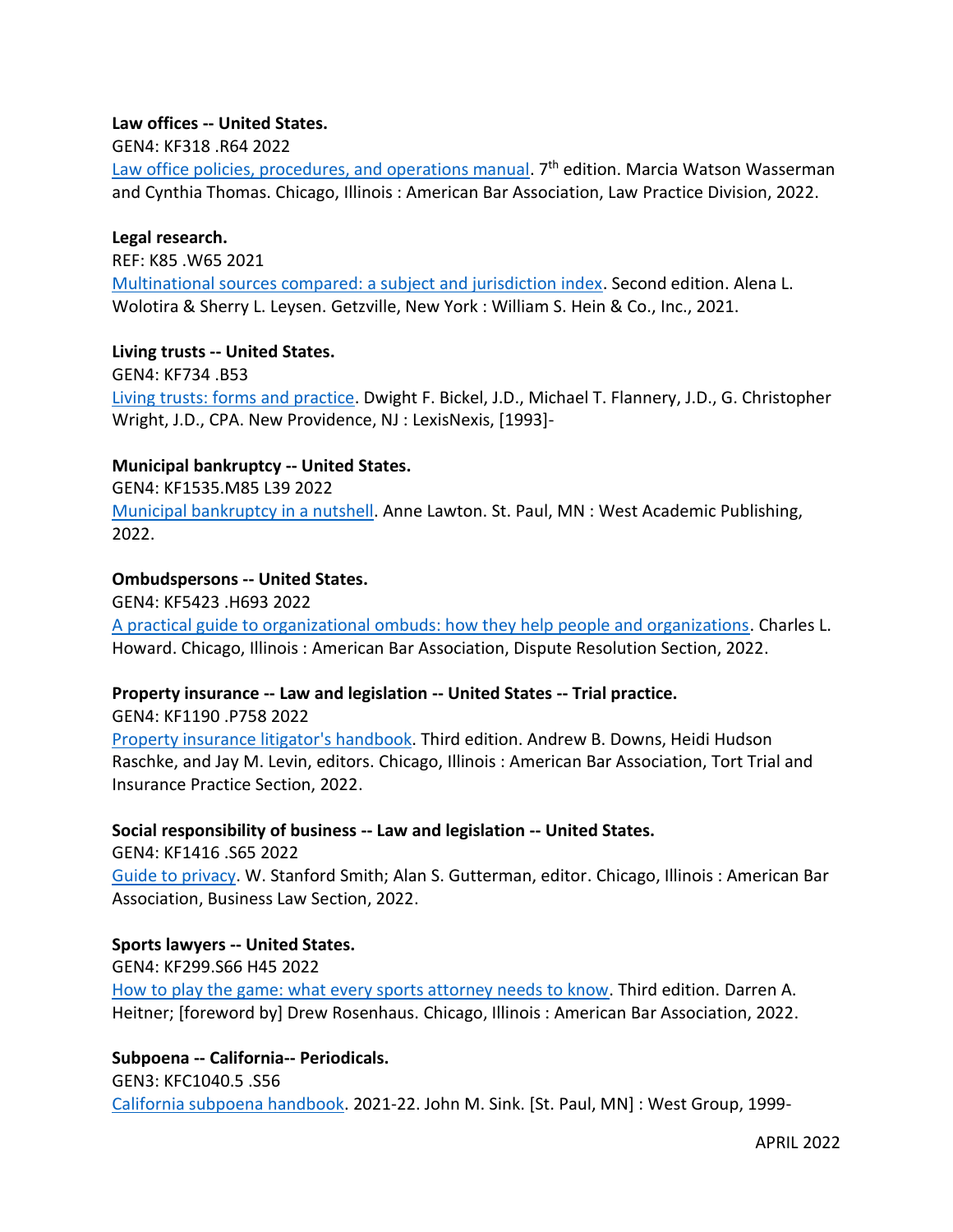# **Law offices -- United States.**

# GEN4: KF318 .R64 2022

[Law office policies, procedures, and operations manual.](https://innopac.ocpll.org/record=b243608) 7<sup>th</sup> edition. Marcia Watson Wasserman and Cynthia Thomas. Chicago, Illinois : American Bar Association, Law Practice Division, 2022.

#### **Legal research.**

REF: K85 .W65 2021 [Multinational sources compared: a subject and jurisdiction index.](https://innopac.ocpll.org/record=b243570) Second edition. Alena L. Wolotira & Sherry L. Leysen. Getzville, New York : William S. Hein & Co., Inc., 2021.

#### **Living trusts -- United States.**

GEN4: KF734 .B53 [Living trusts: forms and practice.](https://innopac.ocpll.org/record=b243138) Dwight F. Bickel, J.D., Michael T. Flannery, J.D., G. Christopher Wright, J.D., CPA. New Providence, NJ : LexisNexis, [1993]-

# **Municipal bankruptcy -- United States.**

GEN4: KF1535.M85 L39 2022 [Municipal bankruptcy in a nutshell.](https://innopac.ocpll.org/record=b244534) Anne Lawton. St. Paul, MN : West Academic Publishing, 2022.

# **Ombudspersons -- United States.**

GEN4: KF5423 .H693 2022

[A practical guide to organizational ombuds: how they help people and organizations.](https://innopac.ocpll.org/record=b243613) Charles L. Howard. Chicago, Illinois : American Bar Association, Dispute Resolution Section, 2022.

# **Property insurance -- Law and legislation -- United States -- Trial practice.**

GEN4: KF1190 .P758 2022 [Property insurance litigator's handbook.](https://innopac.ocpll.org/record=b244539) Third edition. Andrew B. Downs, Heidi Hudson Raschke, and Jay M. Levin, editors. Chicago, Illinois : American Bar Association, Tort Trial and

Insurance Practice Section, 2022.

# **Social responsibility of business -- Law and legislation -- United States.**

GEN4: KF1416 .S65 2022

[Guide to privacy.](https://innopac.ocpll.org/record=b244634) W. Stanford Smith; Alan S. Gutterman, editor. Chicago, Illinois : American Bar Association, Business Law Section, 2022.

# **Sports lawyers -- United States.**

GEN4: KF299.S66 H45 2022

[How to play the game: what every sports attorney needs to know.](https://innopac.ocpll.org/record=b243652) Third edition. Darren A. Heitner; [foreword by] Drew Rosenhaus. Chicago, Illinois : American Bar Association, 2022.

#### **Subpoena -- California-- Periodicals.**

GEN3: KFC1040.5 .S56 [California subpoena handbook.](https://innopac.ocpll.org/record=b142297) 2021-22. John M. Sink. [St. Paul, MN] : West Group, 1999-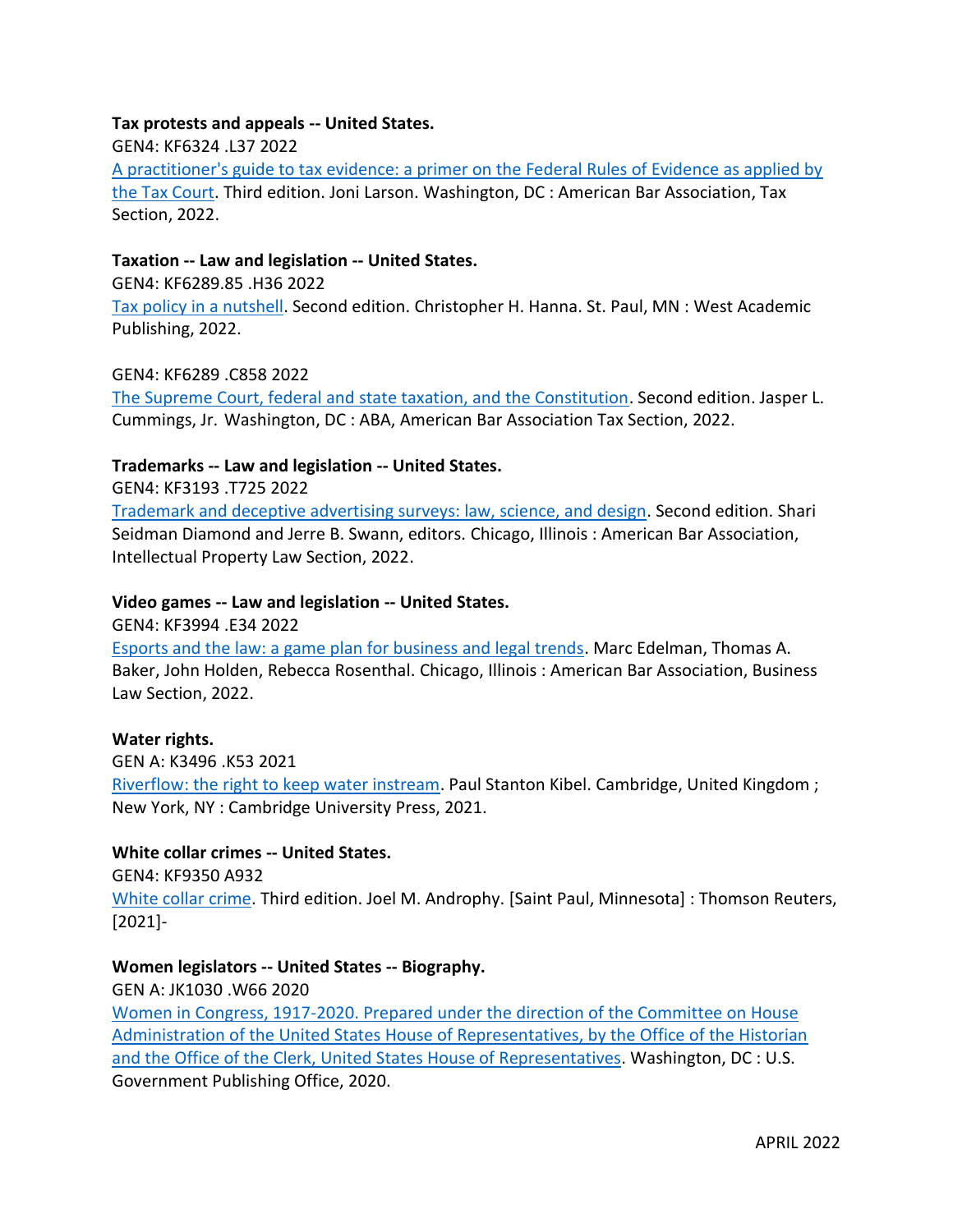# **Tax protests and appeals -- United States.**

GEN4: KF6324 .L37 2022

[A practitioner's guide to tax evidence: a primer on the Federal Rules of Evidence as applied by](https://innopac.ocpll.org/record=b244632)  [the Tax Court.](https://innopac.ocpll.org/record=b244632) Third edition. Joni Larson. Washington, DC : American Bar Association, Tax Section, 2022.

# **Taxation -- Law and legislation -- United States.**

GEN4: KF6289.85 .H36 2022

[Tax policy in a nutshell.](https://innopac.ocpll.org/record=b244532) Second edition. Christopher H. Hanna. St. Paul, MN : West Academic Publishing, 2022.

#### GEN4: KF6289 .C858 2022

[The Supreme Court, federal and state taxation, and the Constitution.](https://innopac.ocpll.org/record=b243579) Second edition. Jasper L. Cummings, Jr. Washington, DC : ABA, American Bar Association Tax Section, 2022.

# **Trademarks -- Law and legislation -- United States.**

GEN4: KF3193 .T725 2022

[Trademark and deceptive advertising surveys: law, science, and design.](https://innopac.ocpll.org/record=b244631) Second edition. Shari Seidman Diamond and Jerre B. Swann, editors. Chicago, Illinois : American Bar Association, Intellectual Property Law Section, 2022.

#### **Video games -- Law and legislation -- United States.**

GEN4: KF3994 .E34 2022

[Esports and the law: a game plan for business and legal trends.](https://innopac.ocpll.org/record=b243575) Marc Edelman, Thomas A. Baker, John Holden, Rebecca Rosenthal. Chicago, Illinois : American Bar Association, Business Law Section, 2022.

#### **Water rights.**

GEN A: K3496 .K53 2021

[Riverflow: the right to keep water instream.](https://innopac.ocpll.org/record=b239376) Paul Stanton Kibel. Cambridge, United Kingdom ; New York, NY : Cambridge University Press, 2021.

#### **White collar crimes -- United States.**

GEN4: KF9350 A932

[White collar crime.](https://innopac.ocpll.org/record=b243571) Third edition. Joel M. Androphy. [Saint Paul, Minnesota] : Thomson Reuters, [2021]-

#### **Women legislators -- United States -- Biography.**

GEN A: JK1030 .W66 2020

Women in Congress, 1917-2020. [Prepared under the direction of the Committee on House](https://innopac.ocpll.org/record=b243974)  [Administration of the United States House of Representatives, by the Office of the Historian](https://innopac.ocpll.org/record=b243974)  [and the Office of the Clerk, United States House of Representatives.](https://innopac.ocpll.org/record=b243974) Washington, DC : U.S. Government Publishing Office, 2020.